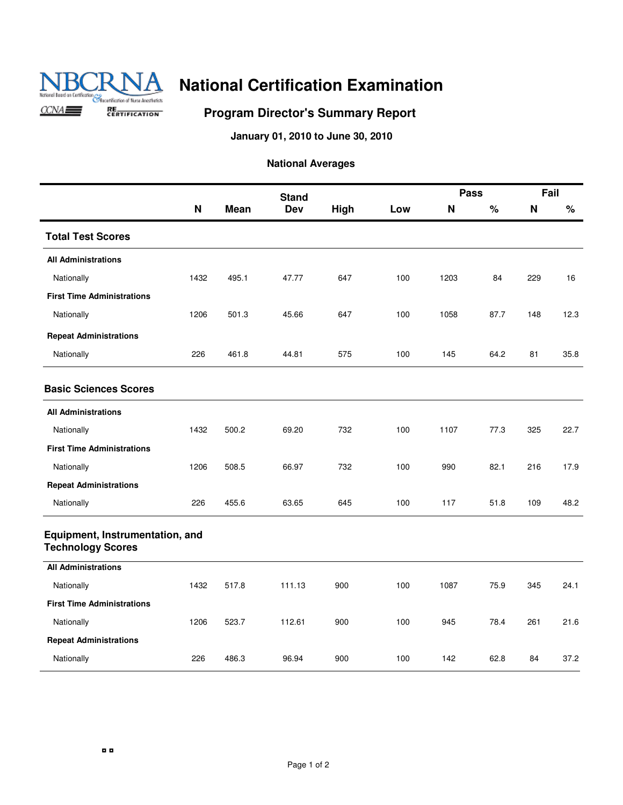

### **Program Director's Summary Report**

**January 01, 2010 to June 30, 2010**

|                                                             |      |       | <b>Stand</b> |      |     | <b>Pass</b> |      | Fail |      |
|-------------------------------------------------------------|------|-------|--------------|------|-----|-------------|------|------|------|
|                                                             | N    | Mean  | <b>Dev</b>   | High | Low | N           | $\%$ | N    | $\%$ |
| <b>Total Test Scores</b>                                    |      |       |              |      |     |             |      |      |      |
| <b>All Administrations</b>                                  |      |       |              |      |     |             |      |      |      |
| Nationally                                                  | 1432 | 495.1 | 47.77        | 647  | 100 | 1203        | 84   | 229  | 16   |
| <b>First Time Administrations</b>                           |      |       |              |      |     |             |      |      |      |
| Nationally                                                  | 1206 | 501.3 | 45.66        | 647  | 100 | 1058        | 87.7 | 148  | 12.3 |
| <b>Repeat Administrations</b>                               |      |       |              |      |     |             |      |      |      |
| Nationally                                                  | 226  | 461.8 | 44.81        | 575  | 100 | 145         | 64.2 | 81   | 35.8 |
| <b>Basic Sciences Scores</b>                                |      |       |              |      |     |             |      |      |      |
| <b>All Administrations</b>                                  |      |       |              |      |     |             |      |      |      |
| Nationally                                                  | 1432 | 500.2 | 69.20        | 732  | 100 | 1107        | 77.3 | 325  | 22.7 |
| <b>First Time Administrations</b>                           |      |       |              |      |     |             |      |      |      |
| Nationally                                                  | 1206 | 508.5 | 66.97        | 732  | 100 | 990         | 82.1 | 216  | 17.9 |
| <b>Repeat Administrations</b>                               |      |       |              |      |     |             |      |      |      |
| Nationally                                                  | 226  | 455.6 | 63.65        | 645  | 100 | 117         | 51.8 | 109  | 48.2 |
| Equipment, Instrumentation, and<br><b>Technology Scores</b> |      |       |              |      |     |             |      |      |      |
| <b>All Administrations</b>                                  |      |       |              |      |     |             |      |      |      |
| Nationally                                                  | 1432 | 517.8 | 111.13       | 900  | 100 | 1087        | 75.9 | 345  | 24.1 |
| <b>First Time Administrations</b>                           |      |       |              |      |     |             |      |      |      |
| Nationally                                                  | 1206 | 523.7 | 112.61       | 900  | 100 | 945         | 78.4 | 261  | 21.6 |
| <b>Repeat Administrations</b>                               |      |       |              |      |     |             |      |      |      |
| Nationally                                                  | 226  | 486.3 | 96.94        | 900  | 100 | 142         | 62.8 | 84   | 37.2 |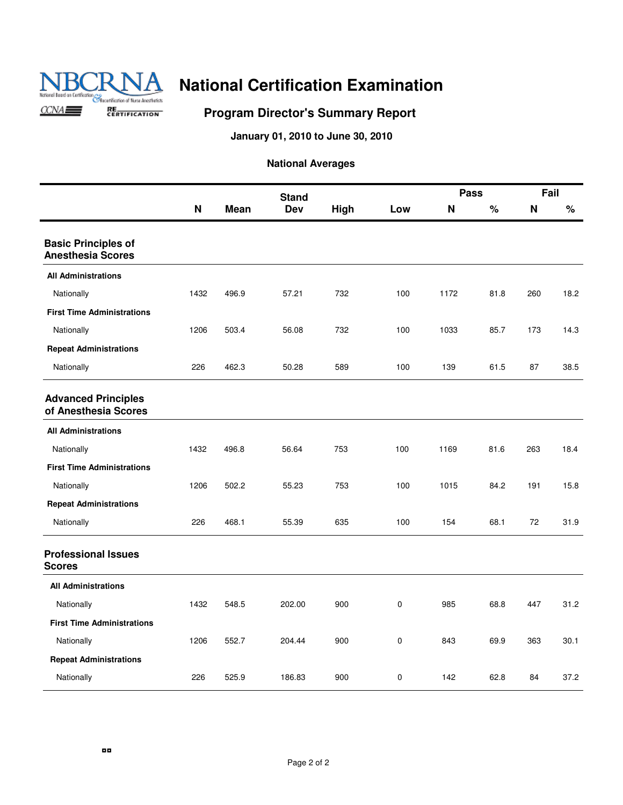

### **Program Director's Summary Report**

**January 01, 2010 to June 30, 2010**

|                                                        |             |             | <b>Stand</b> |      |     | <b>Pass</b> |      | Fail |      |
|--------------------------------------------------------|-------------|-------------|--------------|------|-----|-------------|------|------|------|
|                                                        | $\mathbf N$ | <b>Mean</b> | <b>Dev</b>   | High | Low | N           | $\%$ | N    | $\%$ |
| <b>Basic Principles of</b><br><b>Anesthesia Scores</b> |             |             |              |      |     |             |      |      |      |
| <b>All Administrations</b>                             |             |             |              |      |     |             |      |      |      |
| Nationally                                             | 1432        | 496.9       | 57.21        | 732  | 100 | 1172        | 81.8 | 260  | 18.2 |
| <b>First Time Administrations</b>                      |             |             |              |      |     |             |      |      |      |
| Nationally                                             | 1206        | 503.4       | 56.08        | 732  | 100 | 1033        | 85.7 | 173  | 14.3 |
| <b>Repeat Administrations</b>                          |             |             |              |      |     |             |      |      |      |
| Nationally                                             | 226         | 462.3       | 50.28        | 589  | 100 | 139         | 61.5 | 87   | 38.5 |
| <b>Advanced Principles</b><br>of Anesthesia Scores     |             |             |              |      |     |             |      |      |      |
| <b>All Administrations</b>                             |             |             |              |      |     |             |      |      |      |
| Nationally                                             | 1432        | 496.8       | 56.64        | 753  | 100 | 1169        | 81.6 | 263  | 18.4 |
| <b>First Time Administrations</b>                      |             |             |              |      |     |             |      |      |      |
| Nationally                                             | 1206        | 502.2       | 55.23        | 753  | 100 | 1015        | 84.2 | 191  | 15.8 |
| <b>Repeat Administrations</b>                          |             |             |              |      |     |             |      |      |      |
| Nationally                                             | 226         | 468.1       | 55.39        | 635  | 100 | 154         | 68.1 | 72   | 31.9 |
| <b>Professional Issues</b><br><b>Scores</b>            |             |             |              |      |     |             |      |      |      |
| <b>All Administrations</b>                             |             |             |              |      |     |             |      |      |      |
| Nationally                                             | 1432        | 548.5       | 202.00       | 900  | 0   | 985         | 68.8 | 447  | 31.2 |
| <b>First Time Administrations</b>                      |             |             |              |      |     |             |      |      |      |
| Nationally                                             | 1206        | 552.7       | 204.44       | 900  | 0   | 843         | 69.9 | 363  | 30.1 |
| <b>Repeat Administrations</b>                          |             |             |              |      |     |             |      |      |      |
| Nationally                                             | 226         | 525.9       | 186.83       | 900  | 0   | 142         | 62.8 | 84   | 37.2 |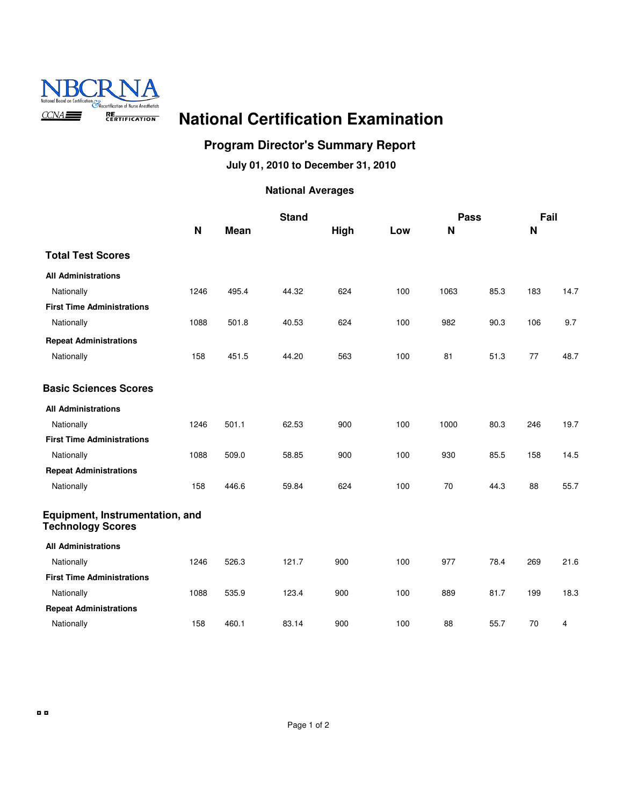

### **Program Director's Summary Report**

**July 01, 2010 to December 31, 2010**

|                                                             |      |       | <b>Stand</b> |      |     | <b>Pass</b> |      | Fail |      |
|-------------------------------------------------------------|------|-------|--------------|------|-----|-------------|------|------|------|
|                                                             | N    | Mean  |              | High | Low | N           |      | N    |      |
| <b>Total Test Scores</b>                                    |      |       |              |      |     |             |      |      |      |
| <b>All Administrations</b>                                  |      |       |              |      |     |             |      |      |      |
| Nationally                                                  | 1246 | 495.4 | 44.32        | 624  | 100 | 1063        | 85.3 | 183  | 14.7 |
| <b>First Time Administrations</b>                           |      |       |              |      |     |             |      |      |      |
| Nationally                                                  | 1088 | 501.8 | 40.53        | 624  | 100 | 982         | 90.3 | 106  | 9.7  |
| <b>Repeat Administrations</b>                               |      |       |              |      |     |             |      |      |      |
| Nationally                                                  | 158  | 451.5 | 44.20        | 563  | 100 | 81          | 51.3 | 77   | 48.7 |
| <b>Basic Sciences Scores</b>                                |      |       |              |      |     |             |      |      |      |
| <b>All Administrations</b>                                  |      |       |              |      |     |             |      |      |      |
| Nationally                                                  | 1246 | 501.1 | 62.53        | 900  | 100 | 1000        | 80.3 | 246  | 19.7 |
| <b>First Time Administrations</b>                           |      |       |              |      |     |             |      |      |      |
| Nationally                                                  | 1088 | 509.0 | 58.85        | 900  | 100 | 930         | 85.5 | 158  | 14.5 |
| <b>Repeat Administrations</b>                               |      |       |              |      |     |             |      |      |      |
| Nationally                                                  | 158  | 446.6 | 59.84        | 624  | 100 | 70          | 44.3 | 88   | 55.7 |
| Equipment, Instrumentation, and<br><b>Technology Scores</b> |      |       |              |      |     |             |      |      |      |
| <b>All Administrations</b>                                  |      |       |              |      |     |             |      |      |      |
| Nationally                                                  | 1246 | 526.3 | 121.7        | 900  | 100 | 977         | 78.4 | 269  | 21.6 |
| <b>First Time Administrations</b>                           |      |       |              |      |     |             |      |      |      |
| Nationally                                                  | 1088 | 535.9 | 123.4        | 900  | 100 | 889         | 81.7 | 199  | 18.3 |
| <b>Repeat Administrations</b>                               |      |       |              |      |     |             |      |      |      |
| Nationally                                                  | 158  | 460.1 | 83.14        | 900  | 100 | 88          | 55.7 | 70   | 4    |